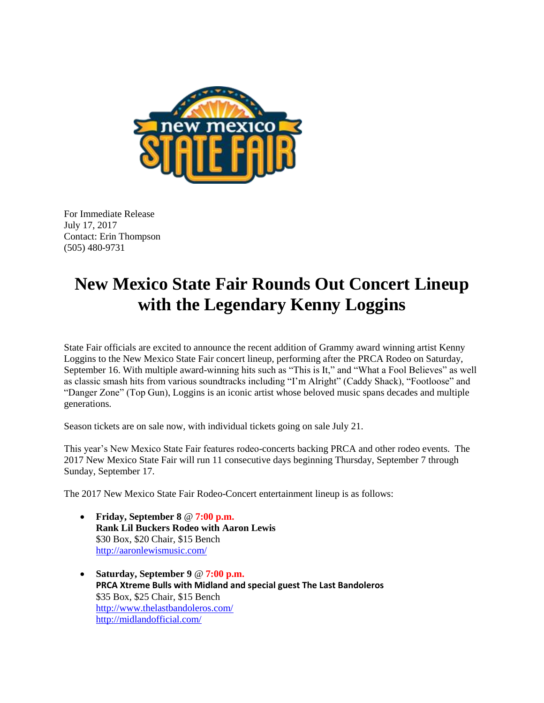

For Immediate Release July 17, 2017 Contact: Erin Thompson (505) 480-9731

## **New Mexico State Fair Rounds Out Concert Lineup with the Legendary Kenny Loggins**

State Fair officials are excited to announce the recent addition of Grammy award winning artist Kenny Loggins to the New Mexico State Fair concert lineup, performing after the PRCA Rodeo on Saturday, September 16. With multiple award-winning hits such as "This is It," and "What a Fool Believes" as well as classic smash hits from various soundtracks including "I'm Alright" (Caddy Shack), "Footloose" and "Danger Zone" (Top Gun), Loggins is an iconic artist whose beloved music spans decades and multiple generations.

Season tickets are on sale now, with individual tickets going on sale July 21.

This year's New Mexico State Fair features rodeo-concerts backing PRCA and other rodeo events. The 2017 New Mexico State Fair will run 11 consecutive days beginning Thursday, September 7 through Sunday, September 17.

The 2017 New Mexico State Fair Rodeo-Concert entertainment lineup is as follows:

- **Friday, September 8** @ **7:00 p.m. Rank Lil Buckers Rodeo with Aaron Lewis** \$30 Box, \$20 Chair, \$15 Bench <http://aaronlewismusic.com/>
- **Saturday, September 9** @ **7:00 p.m. PRCA Xtreme Bulls with Midland and special guest The Last Bandoleros** \$35 Box, \$25 Chair, \$15 Bench <http://www.thelastbandoleros.com/> <http://midlandofficial.com/>